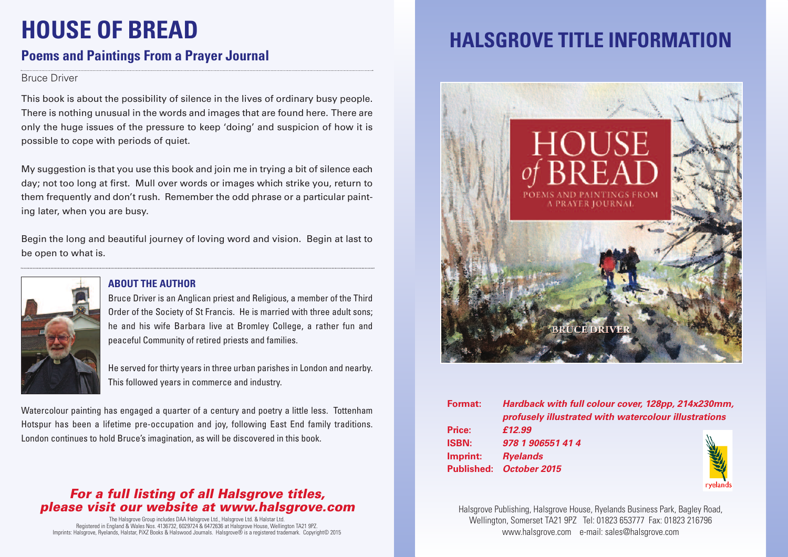# **HOUSE OF BREAD**

## **Poems and Paintings From a Prayer Journal**

#### Bruce Driver

This book is about the possibility of silence in the lives of ordinary busy people. There is nothing unusual in the words and images that are found here. There are only the huge issues of the pressure to keep 'doing' and suspicion of how it is possible to cope with periods of quiet.

My suggestion is that you use this book and join me in trying a bit of silence each day; not too long at first. Mull over words or images which strike you, return to them frequently and don't rush. Remember the odd phrase or a particular painting later, when you are busy.

Begin the long and beautiful journey of loving word and vision. Begin at last to be open to what is.



### **ABOUT THE AUTHOR**

Bruce Driver is an Anglican priest and Religious, a member of the Third Order of the Society of St Francis. He is married with three adult sons; he and his wife Barbara live at Bromley College, a rather fun and peaceful Community of retired priests and families.

He served for thirty years in three urban parishes in London and nearby. This followed years in commerce and industry.

Watercolour painting has engaged a quarter of a century and poetry a little less. Tottenham Hotspur has been a lifetime pre-occupation and joy, following East End family traditions. London continues to hold Bruce's imagination, as will be discovered in this book.

### *For a full listing of all Halsgrove titles, please visit our website at www.halsgrove.com*

The Halsgrove Group includes DAA Halsgrove Ltd., Halsgrove Ltd. & Halstar Ltd. Registered in England & Wales Nos. 4136732, 6029724 & 6472636 at Halsgrove House, Wellington TA21 9PZ. Imprints: Halsgrove, Ryelands, Halstar, PiXZ Books & Halswood Journals. Halsgrove® is a registered trademark. Copyright© 2015

# **HALSGROVE TITLE INFORMATION**



| <b>Format:</b> | Hardback with full colour cover, 128pp, 214x230mm,   |  |
|----------------|------------------------------------------------------|--|
|                | profusely illustrated with watercolour illustrations |  |
| Price:         | £12.99                                               |  |
| <b>ISBN:</b>   | 978 1 906551 41 4                                    |  |
| Imprint:       | <b>Ryelands</b>                                      |  |
|                | Published: October 2015                              |  |
|                |                                                      |  |

Halsgrove Publishing, Halsgrove House, Ryelands Business Park, Bagley Road, Wellington, Somerset TA21 9PZ Tel: 01823 653777 Fax: 01823 216796 www.halsgrove.com e-mail: sales@halsgrove.com